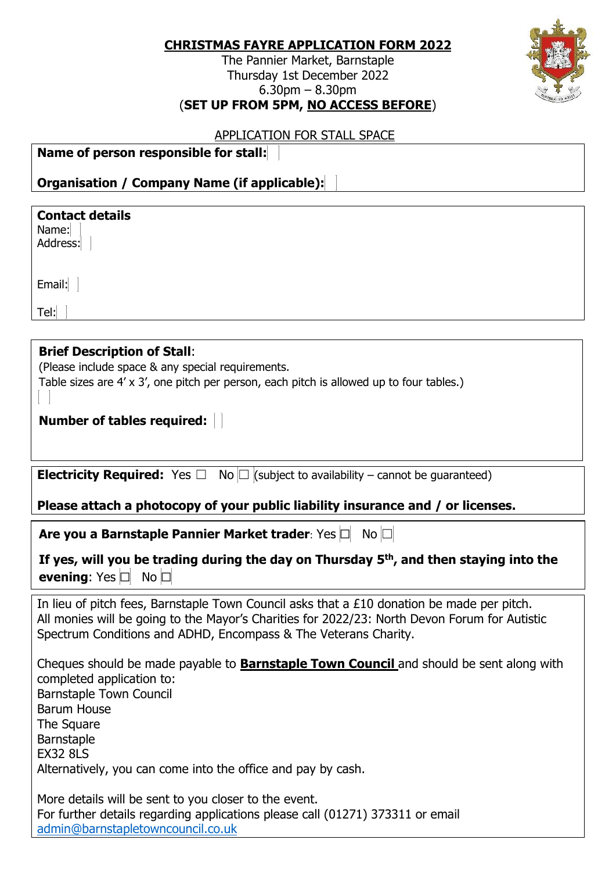| <b>CHRISTMAS FAYRE APPLICATION FORM 2022</b> |  |
|----------------------------------------------|--|
|                                              |  |

The Pannier Market, Barnstaple Thursday 1st December 2022 6.30pm – 8.30pm (**SET UP FROM 5PM, NO ACCESS BEFORE**)



## APPLICATION FOR STALL SPACE

| Name of person responsible for stall: |
|---------------------------------------|
|---------------------------------------|

**Organisation / Company Name (if applicable):**

| <b>Contact details</b><br>Name:<br>Address:                                              |  |  |
|------------------------------------------------------------------------------------------|--|--|
| Email:                                                                                   |  |  |
| Tel:                                                                                     |  |  |
|                                                                                          |  |  |
| <b>Brief Description of Stall:</b>                                                       |  |  |
| (Please include space & any special requirements.                                        |  |  |
| Table sizes are 4' x 3', one pitch per person, each pitch is allowed up to four tables.) |  |  |
| <b>Number of tables required:</b>                                                        |  |  |
|                                                                                          |  |  |

**Electricity Required:** Yes  $\Box$  No  $\Box$  (subject to availability – cannot be guaranteed)

## **Please attach a photocopy of your public liability insurance and / or licenses.**

|  | Are you a Barnstaple Pannier Market trader: Yes □ No □ |  |  |  |
|--|--------------------------------------------------------|--|--|--|
|--|--------------------------------------------------------|--|--|--|

|                                      | If yes, will you be trading during the day on Thursday $5th$ , and then staying into the |
|--------------------------------------|------------------------------------------------------------------------------------------|
| <b>evening:</b> Yes $\Box$ No $\Box$ |                                                                                          |

In lieu of pitch fees, Barnstaple Town Council asks that a £10 donation be made per pitch. All monies will be going to the Mayor's Charities for 2022/23: North Devon Forum for Autistic Spectrum Conditions and ADHD, Encompass & The Veterans Charity.

Cheques should be made payable to **Barnstaple Town Council** and should be sent along with completed application to: Barnstaple Town Council Barum House **The Square** Barnstaple EX32 8LS Alternatively, you can come into the office and pay by cash.

More details will be sent to you closer to the event. For further details regarding applications please call (01271) 373311 or email [admin@barnstapletowncouncil.co.uk](mailto:admin@barnstapletowncouncil.co.uk)